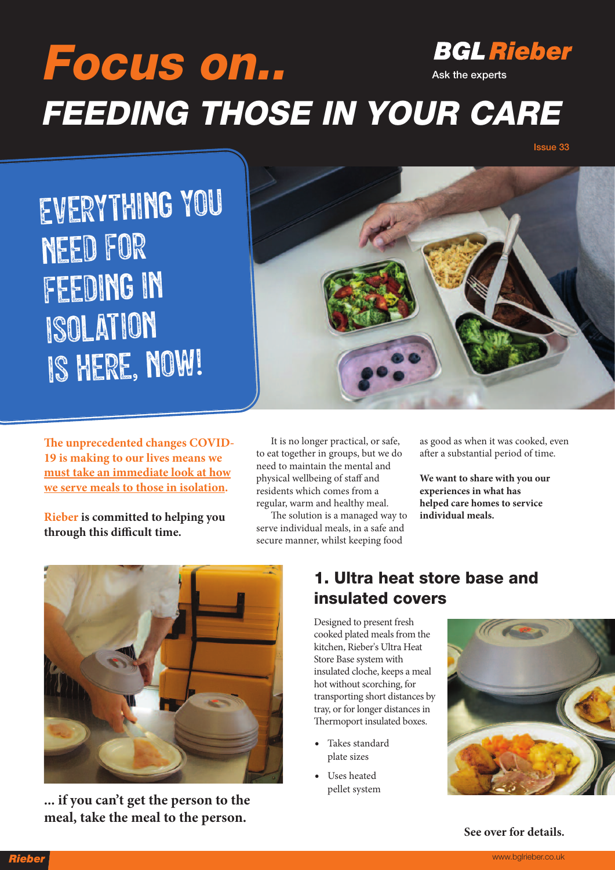### **BGL Rieber Focus on.. Ask the experts FEEDING THOSE IN YOUR CARE**

**Issue 33**

Everything you need for feeding in isolation is here, now!



**e unprecedented changes COVID-19 is making to our lives means we must take an immediate look at how we serve meals to those in isolation.**

**Rieber is committed to helping you through this difficult time.**

It is no longer practical, or safe, to eat together in groups, but we do need to maintain the mental and physical wellbeing of staff and residents which comes from a regular, warm and healthy meal.

The solution is a managed way to serve individual meals, in a safe and secure manner, whilst keeping food

as good as when it was cooked, even after a substantial period of time.

**We want to share with you our experiences in what has helped care homes to service individual meals.**



**... if you can't get the person to the meal, take the meal to the person.**

#### **1. Ultra heat store base and insulated covers**

Designed to present fresh cooked plated meals from the kitchen, Rieber's Ultra Heat Store Base system with insulated cloche, keeps a meal hot without scorching, for transporting short distances by tray, or for longer distances in Thermoport insulated boxes.

- Takes standard plate sizes
- Uses heated pellet system



**See over for details.**